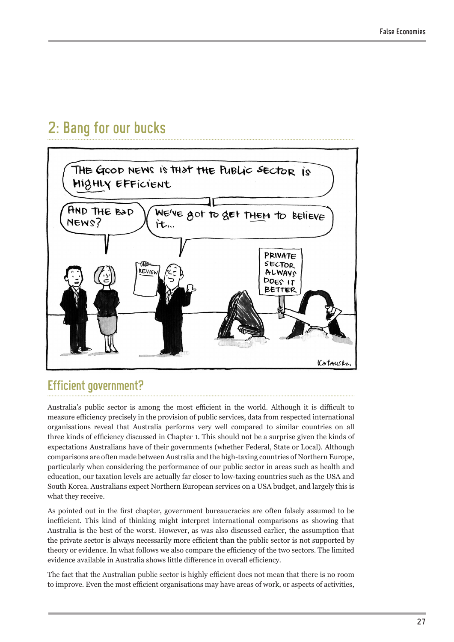# 2: Bang for our bucks



### Efficient government?

Australia's public sector is among the most efficient in the world. Although it is difficult to measure efficiency precisely in the provision of public services, data from respected international organisations reveal that Australia performs very well compared to similar countries on all three kinds of efficiency discussed in Chapter 1. This should not be a surprise given the kinds of expectations Australians have of their governments (whether Federal, State or Local). Although comparisons are often made between Australia and the high-taxing countries of Northern Europe, particularly when considering the performance of our public sector in areas such as health and education, our taxation levels are actually far closer to low-taxing countries such as the USA and South Korea. Australians expect Northern European services on a USA budget, and largely this is what they receive.

As pointed out in the first chapter, government bureaucracies are often falsely assumed to be inefficient. This kind of thinking might interpret international comparisons as showing that Australia is the best of the worst. However, as was also discussed earlier, the assumption that the private sector is always necessarily more efficient than the public sector is not supported by theory or evidence. In what follows we also compare the efficiency of the two sectors. The limited evidence available in Australia shows little difference in overall efficiency.

The fact that the Australian public sector is highly efficient does not mean that there is no room to improve. Even the most efficient organisations may have areas of work, or aspects of activities,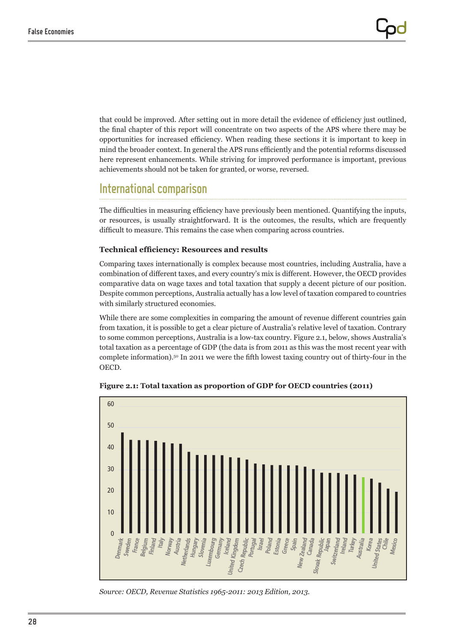that could be improved. After setting out in more detail the evidence of efficiency just outlined, the final chapter of this report will concentrate on two aspects of the APS where there may be opportunities for increased efficiency. When reading these sections it is important to keep in mind the broader context. In general the APS runs efficiently and the potential reforms discussed here represent enhancements. While striving for improved performance is important, previous achievements should not be taken for granted, or worse, reversed.

## International comparison

The difficulties in measuring efficiency have previously been mentioned. Quantifying the inputs, or resources, is usually straightforward. It is the outcomes, the results, which are frequently difficult to measure. This remains the case when comparing across countries.

### **Technical efficiency: Resources and results**

Comparing taxes internationally is complex because most countries, including Australia, have a combination of different taxes, and every country's mix is different. However, the OECD provides comparative data on wage taxes and total taxation that supply a decent picture of our position. Despite common perceptions, Australia actually has a low level of taxation compared to countries with similarly structured economies.

While there are some complexities in comparing the amount of revenue different countries gain from taxation, it is possible to get a clear picture of Australia's relative level of taxation. Contrary to some common perceptions, Australia is a low-tax country. Figure 2.1, below, shows Australia's total taxation as a percentage of GDP (the data is from 2011 as this was the most recent year with complete information).<sup>50</sup> In 2011 we were the fifth lowest taxing country out of thirty-four in the OECD.



**Figure 2.1: Total taxation as proportion of GDP for OECD countries (2011)**

*Source: OECD, Revenue Statistics 1965-2011: 2013 Edition, 2013.*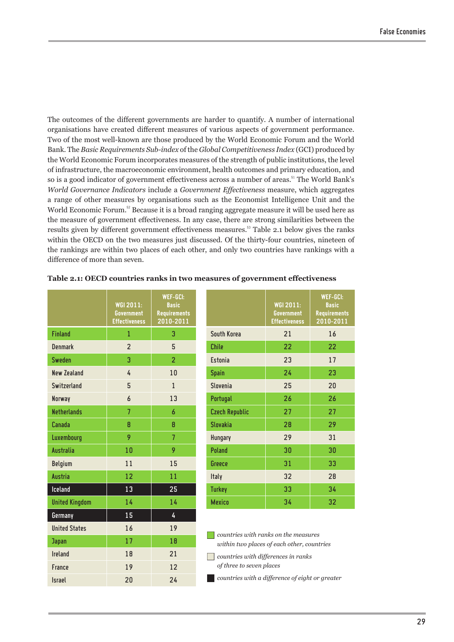The outcomes of the different governments are harder to quantify. A number of international organisations have created different measures of various aspects of government performance. Two of the most well-known are those produced by the World Economic Forum and the World Bank. The *Basic Requirements Sub-index* of the *Global Competitiveness Index* (GCI) produced by the World Economic Forum incorporates measures of the strength of public institutions, the level of infrastructure, the macroeconomic environment, health outcomes and primary education, and so is a good indicator of government effectiveness across a number of areas.<sup>51</sup> The World Bank's *World Governance Indicators* include a *Government Effectiveness* measure, which aggregates a range of other measures by organisations such as the Economist Intelligence Unit and the World Economic Forum.<sup>52</sup> Because it is a broad ranging aggregate measure it will be used here as the measure of government effectiveness. In any case, there are strong similarities between the results given by different government effectiveness measures.<sup>53</sup> Table 2.1 below gives the ranks within the OECD on the two measures just discussed. Of the thirty-four countries, nineteen of the rankings are within two places of each other, and only two countries have rankings with a difference of more than seven.

|                       | <b>WGI 2011:</b><br><b>Government</b><br><b>Effectiveness</b> | <b>WEF-GCI:</b><br><b>Basic</b><br><b>Requirements</b><br>2010-2011 |
|-----------------------|---------------------------------------------------------------|---------------------------------------------------------------------|
| <b>Finland</b>        | 1                                                             | 3                                                                   |
| <b>Denmark</b>        | $\overline{2}$                                                | 5                                                                   |
| <b>Sweden</b>         | 3                                                             | $\overline{2}$                                                      |
| <b>New Zealand</b>    | 4                                                             | 10                                                                  |
| Switzerland           | 5                                                             | $\mathbf{1}$                                                        |
| Norway                | $\overline{a}$                                                | 13                                                                  |
| <b>Netherlands</b>    | $\overline{7}$                                                | 6                                                                   |
| Canada                | 8                                                             | 8                                                                   |
| Luxembourg            | 9                                                             | 7                                                                   |
| <b>Australia</b>      | 10                                                            | 9                                                                   |
| <b>Belgium</b>        | 11                                                            | 15                                                                  |
| <b>Austria</b>        | 12                                                            | 11                                                                  |
| Iceland               | 13                                                            | 25                                                                  |
| <b>United Kingdom</b> | 14                                                            | 14                                                                  |
| Germany               | 15                                                            | 4                                                                   |
| <b>United States</b>  | 16                                                            | 19                                                                  |
| <b>Japan</b>          | 17                                                            | 18                                                                  |
| <b>Ireland</b>        | 18                                                            | 21                                                                  |
| France                | 19                                                            | 12                                                                  |
| <b>Israel</b>         | 20                                                            | 24                                                                  |

|  |  |  | Table 2.1: OECD countries ranks in two measures of government effectiveness |
|--|--|--|-----------------------------------------------------------------------------|
|--|--|--|-----------------------------------------------------------------------------|

|                       | <b>WGI 2011:</b><br><b>Government</b><br><b>Effectiveness</b> | <b>WEF-GCI:</b><br><b>Basic</b><br><b>Requirements</b><br>2010-2011 |
|-----------------------|---------------------------------------------------------------|---------------------------------------------------------------------|
| South Korea           | 21                                                            | 16                                                                  |
| <b>Chile</b>          | 22                                                            | 22                                                                  |
| <b>Fstonia</b>        | 23                                                            | 17                                                                  |
| <b>Spain</b>          | 24                                                            | 23                                                                  |
| Slovenia              | 25                                                            | 20                                                                  |
| Portugal              | 26                                                            | 26                                                                  |
| <b>Czech Republic</b> | 27                                                            | 27                                                                  |
| <b>Slovakia</b>       | 28                                                            | 29                                                                  |
| Hungary               | 29                                                            | 31                                                                  |
| <b>Poland</b>         | 30                                                            | 30                                                                  |
| <b>Greece</b>         | 31                                                            | 33                                                                  |
| Italy                 | 32                                                            | 28                                                                  |
| <b>Turkey</b>         | 33                                                            | 34                                                                  |
| <b>Mexico</b>         | 34                                                            | 32                                                                  |

**n** *countries with ranks on the measures within two places of each other, countries* 

n *countries with differences in ranks of three to seven places*

**n** *countries with a difference of eight or greater*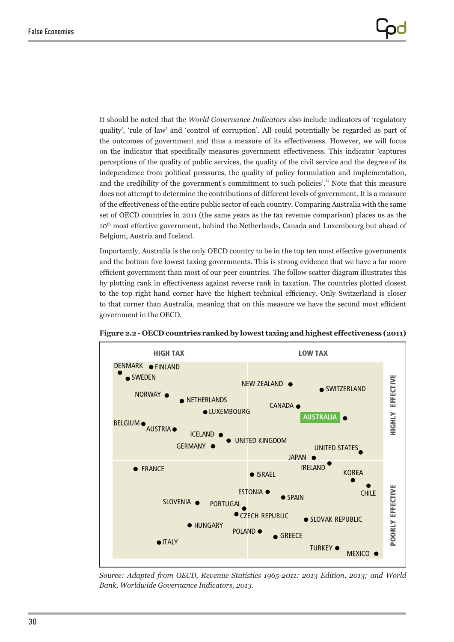It should be noted that the *World Governance Indicators* also include indicators of 'regulatory quality', 'rule of law' and 'control of corruption'. All could potentially be regarded as part of the outcomes of government and thus a measure of its effectiveness. However, we will focus on the indicator that specifically measures government effectiveness. This indicator 'captures perceptions of the quality of public services, the quality of the civil service and the degree of its independence from political pressures, the quality of policy formulation and implementation, and the credibility of the government's commitment to such policies'.<sup>54</sup> Note that this measure does not attempt to determine the contributions of different levels of government. It is a measure of the effectiveness of the entire public sector of each country. Comparing Australia with the same set of OECD countries in 2011 (the same years as the tax revenue comparison) places us as the 10th most effective government, behind the Netherlands, Canada and Luxembourg but ahead of Belgium, Austria and Iceland.

Importantly, Australia is the only OECD country to be in the top ten most effective governments and the bottom five lowest taxing governments. This is strong evidence that we have a far more efficient government than most of our peer countries. The follow scatter diagram illustrates this by plotting rank in effectiveness against reverse rank in taxation. The countries plotted closest to the top right hand corner have the highest technical efficiency. Only Switzerland is closer to that corner than Australia, meaning that on this measure we have the second most efficient government in the OECD.



**Figure 2.2 - OECD countries ranked by lowest taxing and highest effectiveness (2011)**

*Source: Adapted from OECD, Revenue Statistics 1965-2011: 2013 Edition, 2013; and World Bank, Worldwide Governance Indicators, 2013.*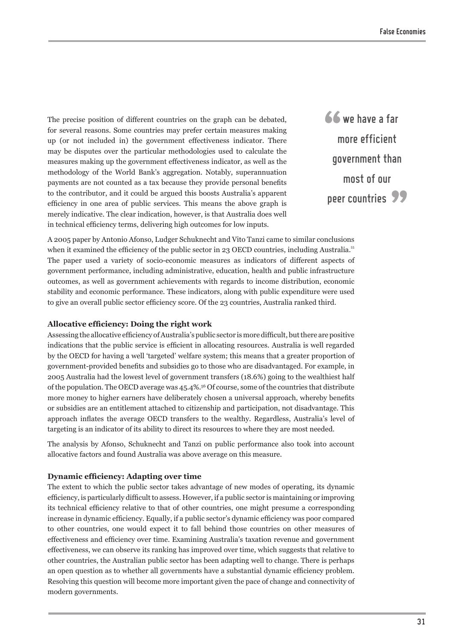The precise position of different countries on the graph can be debated, for several reasons. Some countries may prefer certain measures making up (or not included in) the government effectiveness indicator. There may be disputes over the particular methodologies used to calculate the measures making up the government effectiveness indicator, as well as the methodology of the World Bank's aggregation. Notably, superannuation payments are not counted as a tax because they provide personal benefits to the contributor, and it could be argued this boosts Australia's apparent efficiency in one area of public services. This means the above graph is merely indicative. The clear indication, however, is that Australia does well in technical efficiency terms, delivering high outcomes for low inputs.

66 we have a far more efficient government than most of our peer countries 99

A 2005 paper by Antonio Afonso, Ludger Schuknecht and Vito Tanzi came to similar conclusions when it examined the efficiency of the public sector in 23 OECD countries, including Australia.<sup>55</sup> The paper used a variety of socio-economic measures as indicators of different aspects of government performance, including administrative, education, health and public infrastructure outcomes, as well as government achievements with regards to income distribution, economic stability and economic performance. These indicators, along with public expenditure were used to give an overall public sector efficiency score. Of the 23 countries, Australia ranked third.

#### **Allocative efficiency: Doing the right work**

Assessing the allocative efficiency of Australia's public sector is more difficult, but there are positive indications that the public service is efficient in allocating resources. Australia is well regarded by the OECD for having a well 'targeted' welfare system; this means that a greater proportion of government-provided benefits and subsidies go to those who are disadvantaged. For example, in 2005 Australia had the lowest level of government transfers (18.6%) going to the wealthiest half of the population. The OECD average was 45.4%.<sup>56</sup> Of course, some of the countries that distribute more money to higher earners have deliberately chosen a universal approach, whereby benefits or subsidies are an entitlement attached to citizenship and participation, not disadvantage. This approach inflates the average OECD transfers to the wealthy. Regardless, Australia's level of targeting is an indicator of its ability to direct its resources to where they are most needed.

The analysis by Afonso, Schuknecht and Tanzi on public performance also took into account allocative factors and found Australia was above average on this measure.

#### **Dynamic efficiency: Adapting over time**

The extent to which the public sector takes advantage of new modes of operating, its dynamic efficiency, is particularly difficult to assess. However, if a public sector is maintaining or improving its technical efficiency relative to that of other countries, one might presume a corresponding increase in dynamic efficiency. Equally, if a public sector's dynamic efficiency was poor compared to other countries, one would expect it to fall behind those countries on other measures of effectiveness and efficiency over time. Examining Australia's taxation revenue and government effectiveness, we can observe its ranking has improved over time, which suggests that relative to other countries, the Australian public sector has been adapting well to change. There is perhaps an open question as to whether all governments have a substantial dynamic efficiency problem. Resolving this question will become more important given the pace of change and connectivity of modern governments.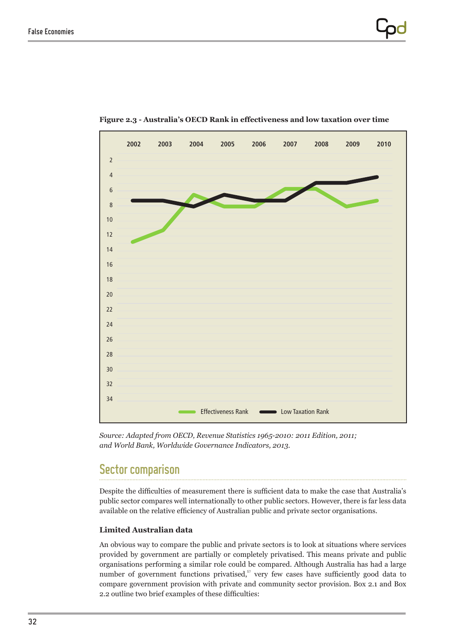

**Figure 2.3 - Australia's OECD Rank in effectiveness and low taxation over time**

*Source: Adapted from OECD, Revenue Statistics 1965-2010: 2011 Edition, 2011; and World Bank, Worldwide Governance Indicators, 2013.*

### Sector comparison

Despite the difficulties of measurement there is sufficient data to make the case that Australia's public sector compares well internationally to other public sectors. However, there is far less data available on the relative efficiency of Australian public and private sector organisations.

### **Limited Australian data**

An obvious way to compare the public and private sectors is to look at situations where services provided by government are partially or completely privatised. This means private and public organisations performing a similar role could be compared. Although Australia has had a large number of government functions privatised,<sup>57</sup> very few cases have sufficiently good data to compare government provision with private and community sector provision. Box 2.1 and Box 2.2 outline two brief examples of these difficulties: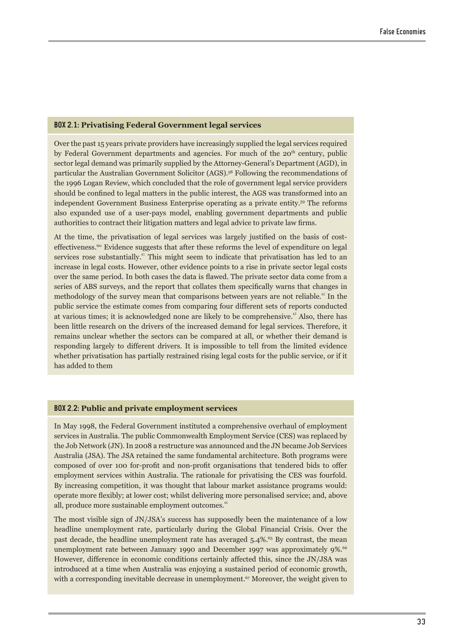#### **BOX 2.1: Privatising Federal Government legal services**

Over the past 15 years private providers have increasingly supplied the legal services required by Federal Government departments and agencies. For much of the 20<sup>th</sup> century, public sector legal demand was primarily supplied by the Attorney-General's Department (AGD), in particular the Australian Government Solicitor (AGS).<sup>58</sup> Following the recommendations of the 1996 Logan Review, which concluded that the role of government legal service providers should be confined to legal matters in the public interest, the AGS was transformed into an independent Government Business Enterprise operating as a private entity.<sup>59</sup> The reforms also expanded use of a user-pays model, enabling government departments and public authorities to contract their litigation matters and legal advice to private law firms.

At the time, the privatisation of legal services was largely justified on the basis of costeffectiveness.<sup>60</sup> Evidence suggests that after these reforms the level of expenditure on legal services rose substantially.<sup>41</sup> This might seem to indicate that privatisation has led to an increase in legal costs. However, other evidence points to a rise in private sector legal costs over the same period. In both cases the data is flawed. The private sector data come from a series of ABS surveys, and the report that collates them specifically warns that changes in methodology of the survey mean that comparisons between years are not reliable.<sup> $\Omega$ </sup> In the public service the estimate comes from comparing four different sets of reports conducted at various times; it is acknowledged none are likely to be comprehensive.<sup>43</sup> Also, there has been little research on the drivers of the increased demand for legal services. Therefore, it remains unclear whether the sectors can be compared at all, or whether their demand is responding largely to different drivers. It is impossible to tell from the limited evidence whether privatisation has partially restrained rising legal costs for the public service, or if it has added to them

#### **BOX 2.2: Public and private employment services**

In May 1998, the Federal Government instituted a comprehensive overhaul of employment services in Australia. The public Commonwealth Employment Service (CES) was replaced by the Job Network (JN). In 2008 a restructure was announced and the JN became Job Services Australia (JSA). The JSA retained the same fundamental architecture. Both programs were composed of over 100 for-profit and non-profit organisations that tendered bids to offer employment services within Australia. The rationale for privatising the CES was fourfold. By increasing competition, it was thought that labour market assistance programs would: operate more flexibly; at lower cost; whilst delivering more personalised service; and, above all, produce more sustainable employment outcomes.<sup>64</sup>

The most visible sign of JN/JSA's success has supposedly been the maintenance of a low headline unemployment rate, particularly during the Global Financial Crisis. Over the past decade, the headline unemployment rate has averaged 5.4%.<sup>65</sup> By contrast, the mean unemployment rate between January 1990 and December 1997 was approximately 9%.<sup>66</sup> However, difference in economic conditions certainly affected this, since the JN/JSA was introduced at a time when Australia was enjoying a sustained period of economic growth, with a corresponding inevitable decrease in unemployment.<sup>67</sup> Moreover, the weight given to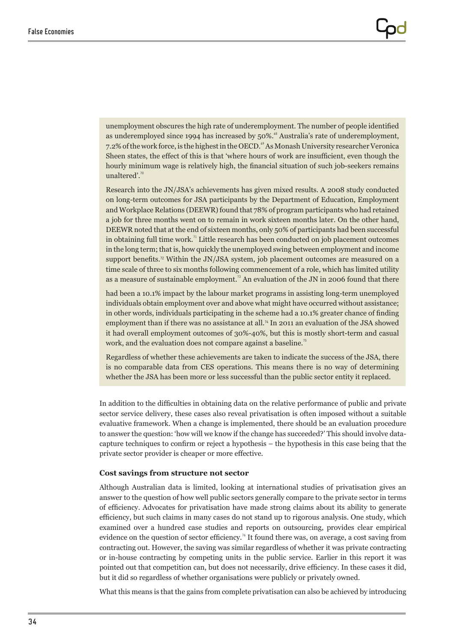unemployment obscures the high rate of underemployment. The number of people identified as underemployed since 1994 has increased by 50%.<sup>68</sup> Australia's rate of underemployment, 7.2% of the work force, is the highest in the OECD.<sup>69</sup> As Monash University researcher Veronica Sheen states, the effect of this is that 'where hours of work are insufficient, even though the hourly minimum wage is relatively high, the financial situation of such job-seekers remains unaltered'.<sup>70</sup>

Research into the JN/JSA's achievements has given mixed results. A 2008 study conducted on long-term outcomes for JSA participants by the Department of Education, Employment and Workplace Relations (DEEWR) found that 78% of program participants who had retained a job for three months went on to remain in work sixteen months later. On the other hand, DEEWR noted that at the end of sixteen months, only 50% of participants had been successful in obtaining full time work.<sup> $n$ </sup> Little research has been conducted on job placement outcomes in the long term; that is, how quickly the unemployed swing between employment and income support benefits.<sup>72</sup> Within the JN/JSA system, job placement outcomes are measured on a time scale of three to six months following commencement of a role, which has limited utility as a measure of sustainable employment.<sup>73</sup> An evaluation of the JN in 2006 found that there

had been a 10.1% impact by the labour market programs in assisting long-term unemployed individuals obtain employment over and above what might have occurred without assistance; in other words, individuals participating in the scheme had a 10.1% greater chance of finding employment than if there was no assistance at all.<sup>74</sup> In 2011 an evaluation of the JSA showed it had overall employment outcomes of 30%-40%, but this is mostly short-term and casual work, and the evaluation does not compare against a baseline.<sup>75</sup>

Regardless of whether these achievements are taken to indicate the success of the JSA, there is no comparable data from CES operations. This means there is no way of determining whether the JSA has been more or less successful than the public sector entity it replaced.

In addition to the difficulties in obtaining data on the relative performance of public and private sector service delivery, these cases also reveal privatisation is often imposed without a suitable evaluative framework. When a change is implemented, there should be an evaluation procedure to answer the question: 'how will we know if the change has succeeded?' This should involve datacapture techniques to confirm or reject a hypothesis – the hypothesis in this case being that the private sector provider is cheaper or more effective.

#### **Cost savings from structure not sector**

Although Australian data is limited, looking at international studies of privatisation gives an answer to the question of how well public sectors generally compare to the private sector in terms of efficiency. Advocates for privatisation have made strong claims about its ability to generate efficiency, but such claims in many cases do not stand up to rigorous analysis. One study, which examined over a hundred case studies and reports on outsourcing, provides clear empirical evidence on the question of sector efficiency.<sup>76</sup> It found there was, on average, a cost saving from contracting out. However, the saving was similar regardless of whether it was private contracting or in-house contracting by competing units in the public service. Earlier in this report it was pointed out that competition can, but does not necessarily, drive efficiency. In these cases it did, but it did so regardless of whether organisations were publicly or privately owned.

What this means is that the gains from complete privatisation can also be achieved by introducing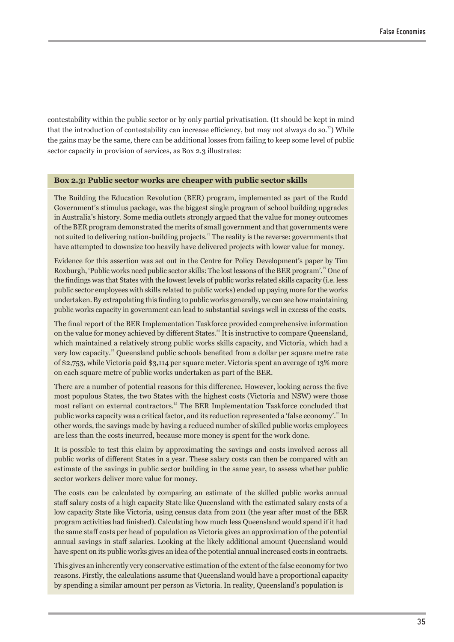contestability within the public sector or by only partial privatisation. (It should be kept in mind that the introduction of contestability can increase efficiency, but may not always do so.<sup>77</sup>) While the gains may be the same, there can be additional losses from failing to keep some level of public sector capacity in provision of services, as Box 2.3 illustrates:

#### **Box 2.3: Public sector works are cheaper with public sector skills**

The Building the Education Revolution (BER) program, implemented as part of the Rudd Government's stimulus package, was the biggest single program of school building upgrades in Australia's history. Some media outlets strongly argued that the value for money outcomes of the BER program demonstrated the merits of small government and that governments were not suited to delivering nation-building projects.<sup>78</sup> The reality is the reverse: governments that have attempted to downsize too heavily have delivered projects with lower value for money.

Evidence for this assertion was set out in the Centre for Policy Development's paper by Tim Roxburgh, 'Public works need public sector skills: The lost lessons of the BER program'." One of the findings was that States with the lowest levels of public works related skills capacity (i.e. less public sector employees with skills related to public works) ended up paying more for the works undertaken. By extrapolating this finding to public works generally, we can see how maintaining public works capacity in government can lead to substantial savings well in excess of the costs.

The final report of the BER Implementation Taskforce provided comprehensive information on the value for money achieved by different States.<sup>80</sup> It is instructive to compare Queensland, which maintained a relatively strong public works skills capacity, and Victoria, which had a very low capacity.<sup>81</sup> Queensland public schools benefited from a dollar per square metre rate of \$2,753, while Victoria paid \$3,114 per square meter. Victoria spent an average of 13% more on each square metre of public works undertaken as part of the BER.

There are a number of potential reasons for this difference. However, looking across the five most populous States, the two States with the highest costs (Victoria and NSW) were those most reliant on external contractors.<sup>82</sup> The BER Implementation Taskforce concluded that public works capacity was a critical factor, and its reduction represented a 'false economy'.<sup>83</sup> In other words, the savings made by having a reduced number of skilled public works employees are less than the costs incurred, because more money is spent for the work done.

It is possible to test this claim by approximating the savings and costs involved across all public works of different States in a year. These salary costs can then be compared with an estimate of the savings in public sector building in the same year, to assess whether public sector workers deliver more value for money.

The costs can be calculated by comparing an estimate of the skilled public works annual staff salary costs of a high capacity State like Queensland with the estimated salary costs of a low capacity State like Victoria, using census data from 2011 (the year after most of the BER program activities had finished). Calculating how much less Queensland would spend if it had the same staff costs per head of population as Victoria gives an approximation of the potential annual savings in staff salaries. Looking at the likely additional amount Queensland would have spent on its public works gives an idea of the potential annual increased costs in contracts.

This gives an inherently very conservative estimation of the extent of the false economy for two reasons. Firstly, the calculations assume that Queensland would have a proportional capacity by spending a similar amount per person as Victoria. In reality, Queensland's population is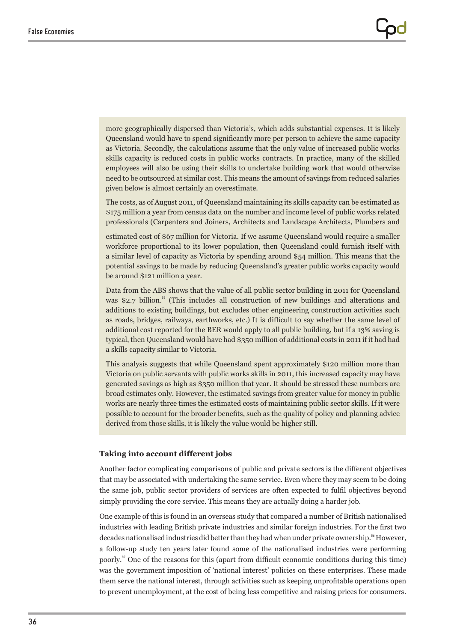more geographically dispersed than Victoria's, which adds substantial expenses. It is likely Queensland would have to spend significantly more per person to achieve the same capacity as Victoria. Secondly, the calculations assume that the only value of increased public works skills capacity is reduced costs in public works contracts. In practice, many of the skilled employees will also be using their skills to undertake building work that would otherwise need to be outsourced at similar cost. This means the amount of savings from reduced salaries given below is almost certainly an overestimate.

The costs, as of August 2011, of Queensland maintaining its skills capacity can be estimated as \$175 million a year from census data on the number and income level of public works related professionals (Carpenters and Joiners, Architects and Landscape Architects, Plumbers and

estimated cost of \$67 million for Victoria. If we assume Queensland would require a smaller workforce proportional to its lower population, then Queensland could furnish itself with a similar level of capacity as Victoria by spending around \$54 million. This means that the potential savings to be made by reducing Queensland's greater public works capacity would be around \$121 million a year.

Data from the ABS shows that the value of all public sector building in 2011 for Queensland was \$2.7 billion.<sup>85</sup> (This includes all construction of new buildings and alterations and additions to existing buildings, but excludes other engineering construction activities such as roads, bridges, railways, earthworks, etc.) It is difficult to say whether the same level of additional cost reported for the BER would apply to all public building, but if a 13% saving is typical, then Queensland would have had \$350 million of additional costs in 2011 if it had had a skills capacity similar to Victoria.

This analysis suggests that while Queensland spent approximately \$120 million more than Victoria on public servants with public works skills in 2011, this increased capacity may have generated savings as high as \$350 million that year. It should be stressed these numbers are broad estimates only. However, the estimated savings from greater value for money in public works are nearly three times the estimated costs of maintaining public sector skills. If it were possible to account for the broader benefits, such as the quality of policy and planning advice derived from those skills, it is likely the value would be higher still.

#### **Taking into account different jobs**

Another factor complicating comparisons of public and private sectors is the different objectives that may be associated with undertaking the same service. Even where they may seem to be doing the same job, public sector providers of services are often expected to fulfil objectives beyond simply providing the core service. This means they are actually doing a harder job.

One example of this is found in an overseas study that compared a number of British nationalised industries with leading British private industries and similar foreign industries. For the first two decades nationalised industries did better than they had when under private ownership.<sup>86</sup> However, a follow-up study ten years later found some of the nationalised industries were performing poorly.<sup>87</sup> One of the reasons for this (apart from difficult economic conditions during this time) was the government imposition of 'national interest' policies on these enterprises. These made them serve the national interest, through activities such as keeping unprofitable operations open to prevent unemployment, at the cost of being less competitive and raising prices for consumers.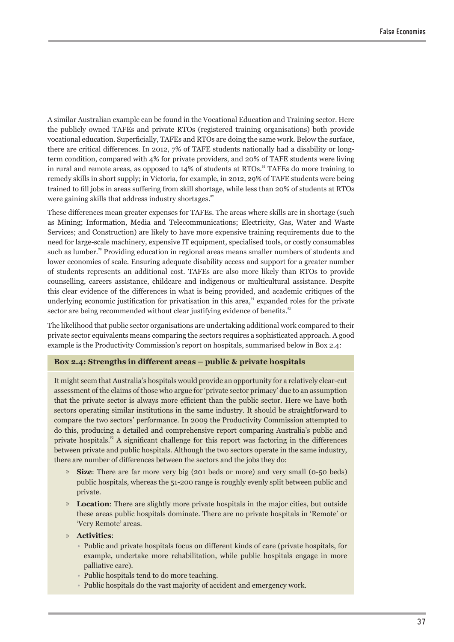A similar Australian example can be found in the Vocational Education and Training sector. Here the publicly owned TAFEs and private RTOs (registered training organisations) both provide vocational education. Superficially, TAFEs and RTOs are doing the same work. Below the surface, there are critical differences. In 2012, 7% of TAFE students nationally had a disability or longterm condition, compared with 4% for private providers, and 20% of TAFE students were living in rural and remote areas, as opposed to  $14\%$  of students at RTOs.<sup>88</sup> TAFEs do more training to remedy skills in short supply; in Victoria, for example, in 2012, 29% of TAFE students were being trained to fill jobs in areas suffering from skill shortage, while less than 20% of students at RTOs were gaining skills that address industry shortages.<sup>89</sup>

These differences mean greater expenses for TAFEs. The areas where skills are in shortage (such as Mining; Information, Media and Telecommunications; Electricity, Gas, Water and Waste Services; and Construction) are likely to have more expensive training requirements due to the need for large-scale machinery, expensive IT equipment, specialised tools, or costly consumables such as lumber.<sup>90</sup> Providing education in regional areas means smaller numbers of students and lower economies of scale. Ensuring adequate disability access and support for a greater number of students represents an additional cost. TAFEs are also more likely than RTOs to provide counselling, careers assistance, childcare and indigenous or multicultural assistance. Despite this clear evidence of the differences in what is being provided, and academic critiques of the underlying economic justification for privatisation in this area, $\alpha$ <sup>1</sup> expanded roles for the private sector are being recommended without clear justifying evidence of benefits.<sup>92</sup>

The likelihood that public sector organisations are undertaking additional work compared to their private sector equivalents means comparing the sectors requires a sophisticated approach. A good example is the Productivity Commission's report on hospitals, summarised below in Box 2.4:

#### **Box 2.4: Strengths in different areas – public & private hospitals**

It might seem that Australia's hospitals would provide an opportunity for a relatively clear-cut assessment of the claims of those who argue for 'private sector primacy' due to an assumption that the private sector is always more efficient than the public sector. Here we have both sectors operating similar institutions in the same industry. It should be straightforward to compare the two sectors' performance. In 2009 the Productivity Commission attempted to do this, producing a detailed and comprehensive report comparing Australia's public and private hospitals.<sup>93</sup> A significant challenge for this report was factoring in the differences between private and public hospitals. Although the two sectors operate in the same industry, there are number of differences between the sectors and the jobs they do:

- **Size:** There are far more very big (201 beds or more) and very small (0-50 beds) public hospitals, whereas the 51-200 range is roughly evenly split between public and private.
- **Location**: There are slightly more private hospitals in the major cities, but outside these areas public hospitals dominate. There are no private hospitals in 'Remote' or 'Very Remote' areas.
- » **Activities**:
	- Public and private hospitals focus on different kinds of care (private hospitals, for example, undertake more rehabilitation, while public hospitals engage in more palliative care).
	- Public hospitals tend to do more teaching.
	- Public hospitals do the vast majority of accident and emergency work.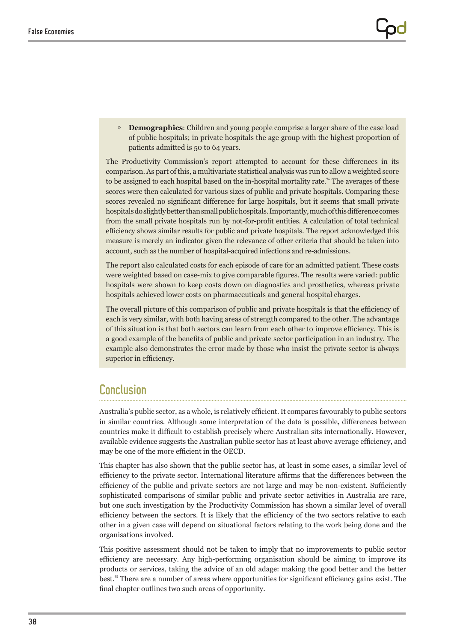» **Demographics**: Children and young people comprise a larger share of the case load of public hospitals; in private hospitals the age group with the highest proportion of patients admitted is 50 to 64 years.

The Productivity Commission's report attempted to account for these differences in its comparison. As part of this, a multivariate statistical analysis was run to allow a weighted score to be assigned to each hospital based on the in-hospital mortality rate.<sup>94</sup> The averages of these scores were then calculated for various sizes of public and private hospitals. Comparing these scores revealed no significant difference for large hospitals, but it seems that small private hospitals do slightly better than small public hospitals. Importantly, much of this difference comes from the small private hospitals run by not-for-profit entities. A calculation of total technical efficiency shows similar results for public and private hospitals. The report acknowledged this measure is merely an indicator given the relevance of other criteria that should be taken into account, such as the number of hospital-acquired infections and re-admissions.

The report also calculated costs for each episode of care for an admitted patient. These costs were weighted based on case-mix to give comparable figures. The results were varied: public hospitals were shown to keep costs down on diagnostics and prosthetics, whereas private hospitals achieved lower costs on pharmaceuticals and general hospital charges.

The overall picture of this comparison of public and private hospitals is that the efficiency of each is very similar, with both having areas of strength compared to the other. The advantage of this situation is that both sectors can learn from each other to improve efficiency. This is a good example of the benefits of public and private sector participation in an industry. The example also demonstrates the error made by those who insist the private sector is always superior in efficiency.

### Conclusion

Australia's public sector, as a whole, is relatively efficient. It compares favourably to public sectors in similar countries. Although some interpretation of the data is possible, differences between countries make it difficult to establish precisely where Australian sits internationally. However, available evidence suggests the Australian public sector has at least above average efficiency, and may be one of the more efficient in the OECD.

This chapter has also shown that the public sector has, at least in some cases, a similar level of efficiency to the private sector. International literature affirms that the differences between the efficiency of the public and private sectors are not large and may be non-existent. Sufficiently sophisticated comparisons of similar public and private sector activities in Australia are rare, but one such investigation by the Productivity Commission has shown a similar level of overall efficiency between the sectors. It is likely that the efficiency of the two sectors relative to each other in a given case will depend on situational factors relating to the work being done and the organisations involved.

This positive assessment should not be taken to imply that no improvements to public sector efficiency are necessary. Any high-performing organisation should be aiming to improve its products or services, taking the advice of an old adage: making the good better and the better best.<sup>95</sup> There are a number of areas where opportunities for significant efficiency gains exist. The final chapter outlines two such areas of opportunity.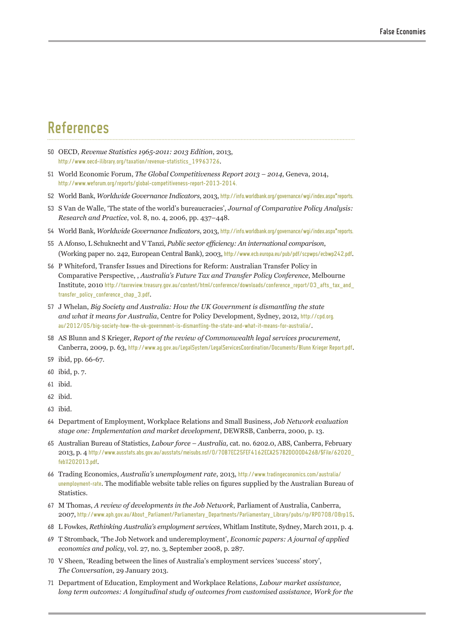# References

- 50 OECD, *Revenue Statistics 1965-2011: 2013 Edition*, 2013, [http://www.oecd-ilibrary.org/taxation/revenue-statistics\\_19963726](http://www.oecd-ilibrary.org/taxation/revenue-statistics_19963726).
- 51 World Economic Forum, *The Global Competitiveness Report 2013 2014*, Geneva, 2014, <http://www.weforum.org/reports/global-competitiveness-report-2013-2014>.
- 52 World Bank, *Worldwide Governance Indicators*, 2013, http://info.worldbank.org/governance/wgi/index.aspx"reports.
- 53 S Van de Walle, 'The state of the world's bureaucracies', *Journal of Comparative Policy Analysis: Research and Practice*, vol. 8, no. 4, 2006, pp. 437–448.
- 54 World Bank, *Worldwide Governance Indicators*, 2013, http://info.worldbank.org/governance/wgi/index.aspx<sup>#</sup>reports.
- 55 A Afonso, L Schuknecht and V Tanzi, *Public sector efficiency: An international comparison*, (Working paper no. 242, European Central Bank), 2003, <http://www.ecb.europa.eu/pub/pdf/scpwps/ecbwp242.pdf>.
- 56 P Whiteford, Transfer Issues and Directions for Reform: Australian Transfer Policy in Comparative Perspective, , *Australia's Future Tax and Transfer Policy Conference*, Melbourne Institute, 2010 [http://taxreview.treasury.gov.au/content/html/conference/downloads/conference\\_report/03\\_afts\\_tax\\_and\\_](http://taxreview.treasury.gov.au/content/html/conference/downloads/conference_report/03_afts_tax_and_transfer_policy_conference_chap_3.pdf) [transfer\\_policy\\_conference\\_chap\\_3.pdf](http://taxreview.treasury.gov.au/content/html/conference/downloads/conference_report/03_afts_tax_and_transfer_policy_conference_chap_3.pdf).
- 57 J Whelan, *Big Society and Australia: How the UK Government is dismantling the state and what it means for Australia*, Centre for Policy Development, Sydney, 2012, [http://cpd.org.](http://cpd.org.au/2012/05/big-society-how-the-uk-government-is-dismantling-the-state-and-what-it-means-for-australia/) [au/2012/05/big-society-how-the-uk-government-is-dismantling-the-state-and-what-it-means-for-australia/](http://cpd.org.au/2012/05/big-society-how-the-uk-government-is-dismantling-the-state-and-what-it-means-for-australia/).
- 58 AS Blunn and S Krieger, *Report of the review of Commonwealth legal services procurement*, Canberra, 2009, p. 63, [http://www.ag.gov.au/LegalSystem/LegalServicesCoordination/Documents/Blunn Krieger Report.pdf](http://www.ag.gov.au/LegalSystem/LegalServicesCoordination/Documents/Blunn%20Krieger%20Report.pdf).
- 59 ibid, pp. 66-67.
- 60 ibid, p. 7.
- 61 ibid.
- 62 ibid.
- 63 ibid.
- 64 Department of Employment, Workplace Relations and Small Business, *Job Network evaluation stage one: Implementation and market development*, DEWRSB, Canberra, 2000, p. 13.
- 65 Australian Bureau of Statistics, *Labour force Australia,* cat. no. 6202.0, ABS, Canberra, February 2013, p. 4 [http://www.ausstats.abs.gov.au/ausstats/meisubs.nsf/0/70B7EC25FEF4162ECA257B2D000D426B/\\$File/62020\\_](http://www.ausstats.abs.gov.au/ausstats/meisubs.nsf/0/70B7EC25FEF4162ECA257B2D000D426B/$File/62020_feb%202013.pdf) [feb%202013.pdf](http://www.ausstats.abs.gov.au/ausstats/meisubs.nsf/0/70B7EC25FEF4162ECA257B2D000D426B/$File/62020_feb%202013.pdf).
- 66 Trading Economics, *Australia's unemployment rate*, 2013, [http://www.tradingeconomics.com/australia/](http://www.tradingeconomics.com/australia/unemployment-rate) [unemployment-rate](http://www.tradingeconomics.com/australia/unemployment-rate). The modifiable website table relies on figures supplied by the Australian Bureau of Statistics.
- 67 M Thomas, *A review of developments in the Job Network*, Parliament of Australia, Canberra, 2007, [http://www.aph.gov.au/About\\_Parliament/Parliamentary\\_Departments/Parliamentary\\_Library/pubs/rp/RP0708/08rp15](http://www.aph.gov.au/About_Parliament/Parliamentary_Departments/Parliamentary_Library/pubs/rp/RP0708/08rp15).
- 68 L Fowkes, *Rethinking Australia's employment services*, Whitlam Institute, Sydney, March 2011, p. 4.
- 69 T Stromback, 'The Job Network and underemployment', *Economic papers: A journal of applied economics and policy*, vol. 27, no. 3, September 2008, p. 287.
- 70 V Sheen, 'Reading between the lines of Australia's employment services 'success' story', *The Conversation*, 29 January 2013.
- 71 Department of Education, Employment and Workplace Relations, *Labour market assistance, long term outcomes: A longitudinal study of outcomes from customised assistance, Work for the*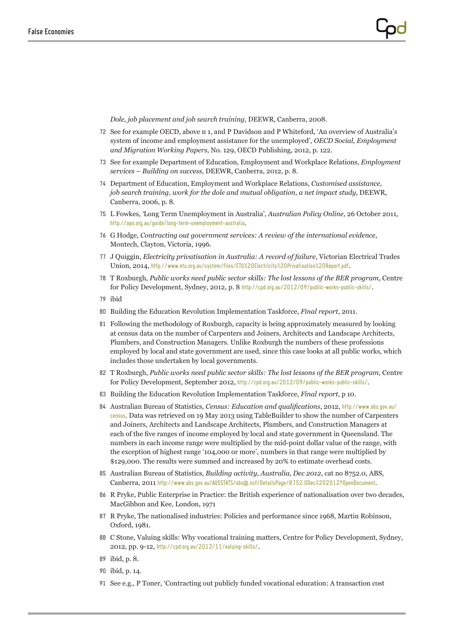*Dole, job placement and job search training*, DEEWR, Canberra, 2008.

- 72 See for example OECD, above n 1, and P Davidson and P Whiteford, 'An overview of Australia's system of income and employment assistance for the unemployed', *OECD Social, Employment and Migration Working Papers*, No. 129, OECD Publishing, 2012, p. 122.
- 73 See for example Department of Education, Employment and Workplace Relations, *Employment services – Building on success*, DEEWR, Canberra, 2012, p. 8.
- 74 Department of Education, Employment and Workplace Relations, *Customised assistance, job search training, work for the dole and mutual obligation, a net impact study,* DEEWR, Canberra, 2006, p. 8.
- 75 L Fowkes, *'*Long Term Unemployment in Australia', *Australian Policy Online,* 26 October 2011, <http://apo.org.au/guide/long-term-unemployment-australia>.
- 76 G Hodge, *Contracting out government services: A review of the international evidence*, Montech, Clayton, Victoria, 1996.
- 77 J Quiggin, *Electricity privatisation in Australia: A record of failure*, Victorian Electrical Trades Union, 2014, <http://www.etu.org.au/system/files/ETU%20Electricity%20Privatisation%20Report.pdf>.
- 78 T Roxburgh, *Public works need public sector skills: The lost lessons of the BER program*, Centre for Policy Development, Sydney, 2012, p. 8 <http://cpd.org.au/2012/09/public-works-public-skills/>.
- 79 ibid
- 80 Building the Education Revolution Implementation Taskforce, *Final report*, 2011.
- 81 Following the methodology of Roxburgh, capacity is being approximately measured by looking at census data on the number of Carpenters and Joiners, Architects and Landscape Architects, Plumbers, and Construction Managers. Unlike Roxburgh the numbers of these professions employed by local and state government are used, since this case looks at all public works, which includes those undertaken by local governments.
- 82 T Roxburgh, *Public works need public sector skills: The lost lessons of the BER program,* Centre for Policy Development, September 2012, [http://cpd.org.au/2012/09/public-](http://cpd.org.au/2012/09/public)works-public-skills/.
- 83 Building the Education Revolution Implementation Taskforce, *Final report*, p 10.
- 84 Australian Bureau of Statistics, *Census: Education and qualifications*, 2012, [http://www.abs.gov.au/](http://www.abs.gov.au/census) [census](http://www.abs.gov.au/census). Data was retrieved on 19 May 2013 using TableBuilder to show the number of Carpenters and Joiners, Architects and Landscape Architects, Plumbers, and Construction Managers at each of the five ranges of income employed by local and state government in Queensland. The numbers in each income range were multiplied by the mid-point dollar value of the range, with the exception of highest range '104,000 or more', numbers in that range were multiplied by \$129,000. The results were summed and increased by 20% to estimate overhead costs.
- 85 Australian Bureau of Statistics, *Building activity, Australia, Dec 2012*, cat no 8752.0, ABS, Canberra, 2011 <http://www.abs.gov.au/AUSSTATS/abs@.nsf/DetailsPage/8752.0Dec%202012?OpenDocument>.
- 86 R Pryke, Public Enterprise in Practice: the British experience of nationalisation over two decades, MacGibbon and Kee, London, 1971
- 87 R Pryke, The nationalised industries: Policies and performance since 1968, Martin Robinson, Oxford, 1981.
- 88 C Stone, Valuing skills: Why vocational training matters, Centre for Policy Development, Sydney, 2012, pp. 9-12, <http://cpd.org.au/2012/11/valuing-skills/>.
- 89 ibid, p. 8.
- 90 ibid, p. 14.
- 91 See e.g., P Toner, 'Contracting out publicly funded vocational education: A transaction cost